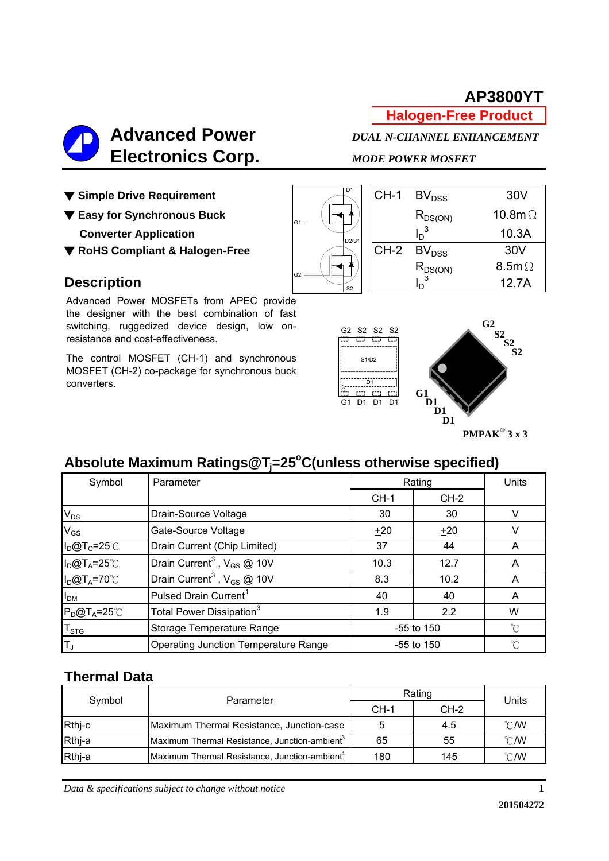**Halogen-Free Product**



▼ Simple Drive Requirement

▼ Easy for Synchronous Buck

**Converter Application** 

▼ RoHS Compliant & Halogen-Free

### **Description**

Advanced Power MOSFETs from APEC provide the designer with the best combination of fast switching, ruggedized device design, low onresistance and cost-effectiveness.

The control MOSFET (CH-1) and synchronous MOSFET (CH-2) co-package for synchronous buck converters.



| D <sub>1</sub>                 | $CH-1$ | BV <sub>DSS</sub> | 30V             |
|--------------------------------|--------|-------------------|-----------------|
|                                |        | $R_{DS(ON)}$      | 10.8m $\Omega$  |
| D <sub>2</sub> /S <sub>1</sub> |        | $I_D^3$           | 10.3A           |
|                                | $CH-2$ | BV <sub>DSS</sub> | 30 <sub>V</sub> |
|                                |        | $R_{DS(ON)}$      | 8.5m $\Omega$   |
| S <sub>2</sub>                 |        | $\sqrt{3}$        | 12.7A           |



## **Absolute Maximum Ratings@Tj =25o C(unless otherwise specified)**

| Symbol                    | Parameter                                   |        | Rating       | Units        |
|---------------------------|---------------------------------------------|--------|--------------|--------------|
|                           |                                             | $CH-1$ | $CH-2$       |              |
| $V_{DS}$                  | Drain-Source Voltage                        | 30     | 30           |              |
| $V_{GS}$                  | Gate-Source Voltage                         | $+20$  | $+20$        | v            |
| $I_D@T_C=25^{\circ}C$     | Drain Current (Chip Limited)                | 37     | 44           | A            |
| $I_D@T_A=25^\circ C$      | Drain Current <sup>3</sup> , $V_{GS}$ @ 10V | 10.3   | 12.7         | A            |
| $I_D@T_A=70^{\circ}C$     | Drain Current <sup>3</sup> , $V_{GS}$ @ 10V | 8.3    | 10.2         | A            |
| I <sub>DM</sub>           | Pulsed Drain Current <sup>1</sup>           | 40     | 40           | A            |
| $P_D@T_A=25^{\circ}C$     | Total Power Dissipation <sup>3</sup>        | 1.9    | 2.2          | W            |
| $\mathsf{T}_{\text{STG}}$ | Storage Temperature Range                   |        | -55 to 150   | $^{\circ}$ C |
| $T_{\text{J}}$            | <b>Operating Junction Temperature Range</b> |        | $-55$ to 150 | $^{\circ}$ C |

### **Thermal Data**

| Symbol | Parameter                                                 | Rating |        | Units          |
|--------|-----------------------------------------------------------|--------|--------|----------------|
|        |                                                           | $CH-1$ | $CH-2$ |                |
| Rthj-c | Maximum Thermal Resistance, Junction-case                 |        | 4.5    | $^{\circ}$ C/W |
| Rthi-a | Maximum Thermal Resistance, Junction-ambient <sup>3</sup> | 65     | 55     | $^{\circ}$ C/W |
| Rthj-a | Maximum Thermal Resistance, Junction-ambient <sup>4</sup> | 180    | 145    | $^{\circ}$ C/W |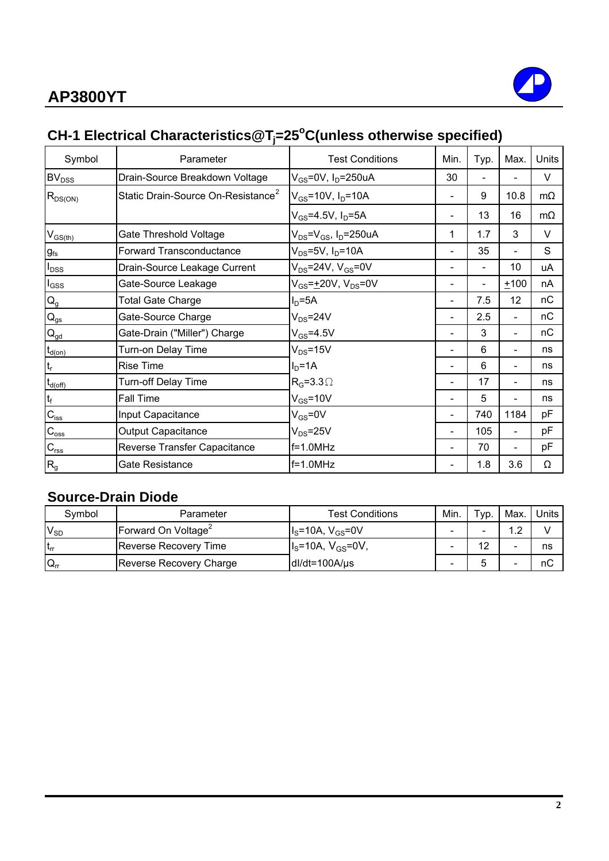

## **CH-1 Electrical Characteristics@Tj =25o C(unless otherwise specified)**

| Symbol                                  | Parameter                                      | <b>Test Conditions</b>                      | Min.                     | Typ. | Max.                     | Units     |
|-----------------------------------------|------------------------------------------------|---------------------------------------------|--------------------------|------|--------------------------|-----------|
| <b>BV<sub>DSS</sub></b>                 | Drain-Source Breakdown Voltage                 | $V_{GS}$ =0V, I <sub>D</sub> =250uA         | 30                       |      |                          | V         |
| $\mathsf{R}_{\mathsf{DS}(\mathsf{ON})}$ | Static Drain-Source On-Resistance <sup>2</sup> | $V_{GS}$ =10V, $I_D$ =10A                   |                          | 9    | 10.8                     | $m\Omega$ |
|                                         |                                                | $V_{GS}$ =4.5V, I <sub>D</sub> =5A          |                          | 13   | 16                       | $m\Omega$ |
| $V_{GS$                                 | Gate Threshold Voltage                         | $V_{DS}$ = $V_{GS}$ , I <sub>D</sub> =250uA | 1                        | 1.7  | 3                        | V         |
| $g_{\rm fs}$                            | <b>Forward Transconductance</b>                | $V_{DS}$ =5V, $I_D$ =10A                    |                          | 35   |                          | S         |
| $I_{DSS}$                               | Drain-Source Leakage Current                   | $V_{DS}$ =24V, $V_{GS}$ =0V                 |                          |      | 10                       | uA        |
| $I_{GSS}$                               | Gate-Source Leakage                            | $V_{GS} = +20V$ , $V_{DS} = 0V$             |                          |      | $+100$                   | nA        |
| $\mathsf{Q}_{\mathsf{g}}$               | <b>Total Gate Charge</b>                       | $ID=5A$                                     |                          | 7.5  | 12                       | nC        |
| $\mathsf{Q}_{\mathsf{gs}}$              | Gate-Source Charge                             | $V_{DS} = 24V$                              |                          | 2.5  | $\overline{\phantom{0}}$ | nC        |
| $Q_{gd}$                                | Gate-Drain ("Miller") Charge                   | $V_{GS} = 4.5V$                             |                          | 3    | $\overline{\phantom{0}}$ | пC        |
| $t_{\underline{\text{d}(on)}}$          | Turn-on Delay Time                             | $V_{DS} = 15V$                              | $\overline{\phantom{a}}$ | 6    | $\overline{\phantom{0}}$ | ns        |
| $t_r$                                   | <b>Rise Time</b>                               | $ID=1A$                                     |                          | 6    | $\overline{\phantom{0}}$ | ns        |
| $t_{d(\text{off})}$                     | <b>Turn-off Delay Time</b>                     | $R_G = 3.3 \Omega$                          |                          | 17   | $\overline{\phantom{0}}$ | ns        |
| $t_f$                                   | Fall Time                                      | $V_{GS}$ =10V                               |                          | 5    |                          | ns        |
| $C_{iss}$                               | Input Capacitance                              | $V_{GS}$ =0V                                |                          | 740  | 1184                     | pF        |
| $C_{\rm{oss}}$                          | <b>Output Capacitance</b>                      | $V_{DS} = 25V$                              |                          | 105  |                          | рF        |
| $\mathbf{C}_{\text{rss}}$               | Reverse Transfer Capacitance                   | f=1.0MHz                                    |                          | 70   |                          | рF        |
| $R_{g}$                                 | Gate Resistance                                | $f=1.0MHz$                                  |                          | 1.8  | 3.6                      | Ω         |

### **Source-Drain Diode**

| Symbol          | Parameter                       | <b>Test Conditions</b> | Min. | $TVP$ . | Max. | Units |
|-----------------|---------------------------------|------------------------|------|---------|------|-------|
| $V_{SD}$        | Forward On Voltage <sup>2</sup> | $IS=10A, VGS=0V$       |      |         | 1 າ  |       |
| t <sub>rr</sub> | Reverse Recovery Time           | $Is=10A, VGS=0V,$      |      | 12      | -    | ns    |
| $Q_{rr}$        | <b>Reverse Recovery Charge</b>  | $dl/dt = 100A/\mu s$   | -    |         |      | пC    |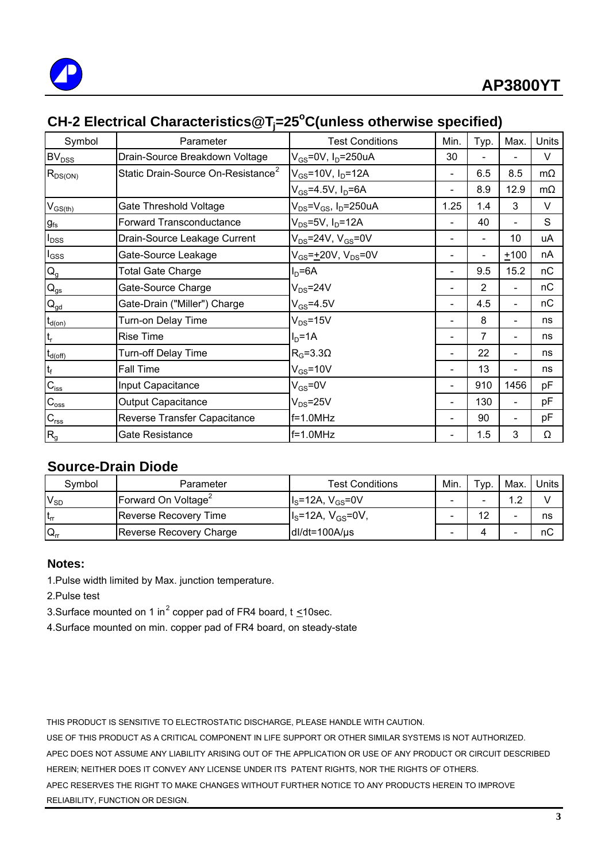

## **CH-2 Electrical Characteristics@Tj =25o C(unless otherwise specified)**

| Symbol                    | Parameter                                      | <b>Test Conditions</b>                    | Min. | Typ.           | Max.                     | Units     |
|---------------------------|------------------------------------------------|-------------------------------------------|------|----------------|--------------------------|-----------|
| BV <sub>DSS</sub>         | Drain-Source Breakdown Voltage                 | $V_{GS}$ =0V, I <sub>D</sub> =250uA       | 30   |                |                          | V         |
| $R_{DS(ON)}$              | Static Drain-Source On-Resistance <sup>2</sup> | $V_{GS}$ =10V, $I_D$ =12A                 |      | 6.5            | 8.5                      | $m\Omega$ |
|                           |                                                | $V_{GS}$ =4.5V, I <sub>D</sub> =6A        |      | 8.9            | 12.9                     | $m\Omega$ |
| $V_{GS(th)}$              | Gate Threshold Voltage                         | $V_{DS} = V_{GS}$ , I <sub>D</sub> =250uA | 1.25 | 1.4            | 3                        | V         |
| $g_{\rm fs}$              | <b>Forward Transconductance</b>                | $V_{DS}$ =5V, I <sub>D</sub> =12A         |      | 40             |                          | S         |
| $I_{\text{DSS}}$          | Drain-Source Leakage Current                   | $V_{DS}$ =24V, $V_{GS}$ =0V               |      | $\blacksquare$ | 10                       | uА        |
| $I_{GSS}$                 | Gate-Source Leakage                            | $V_{GS} = \pm 20V$ , $V_{DS} = 0V$        |      |                | $+100$                   | nA        |
| $Q_g$                     | <b>Total Gate Charge</b>                       | $I_D = 6A$                                |      | 9.5            | 15.2                     | nC        |
| $Q_{gs}$                  | Gate-Source Charge                             | $V_{DS} = 24V$                            |      | 2              |                          | nС        |
| $\mathbf{Q}_{\text{gd}}$  | Gate-Drain ("Miller") Charge                   | $V_{GS} = 4.5V$                           |      | 4.5            | $\overline{\phantom{0}}$ | nC        |
| $t_{d(0n)}$               | Turn-on Delay Time                             | $V_{DS} = 15V$                            |      | 8              |                          | ns        |
| $t_r$                     | Rise Time                                      | $ID=1A$                                   |      | 7              |                          | ns        |
| $t_{d(off)}$              | Turn-off Delay Time                            | $R_G = 3.3\Omega$                         |      | 22             |                          | ns        |
| $t_f$                     | Fall Time                                      | $V_{GS}$ =10V                             |      | 13             |                          | ns        |
| $C_{\text{iss}}$          | Input Capacitance                              | $V_{GS} = 0V$                             |      | 910            | 1456                     | рF        |
| $C_{\rm oss}$             | <b>Output Capacitance</b>                      | $V_{DS} = 25V$                            |      | 130            | $\overline{\phantom{0}}$ | pF        |
| $\mathbf{C}_{\text{rss}}$ | Reverse Transfer Capacitance                   | $f=1.0MHz$                                |      | 90             | $\overline{\phantom{0}}$ | рF        |
| $R_{g}$                   | Gate Resistance                                | $f=1.0MHz$                                |      | 1.5            | 3                        | Ω         |

### **Source-Drain Diode**

| Symbol          | Parameter                       | <b>Test Conditions</b>                | Min. | ⊤ур. | Max. | Units |
|-----------------|---------------------------------|---------------------------------------|------|------|------|-------|
| $V_{SD}$        | Forward On Voltage <sup>2</sup> | $I_{\rm S}$ =12A, V <sub>GS</sub> =0V |      |      |      |       |
| t <sub>rr</sub> | <b>Reverse Recovery Time</b>    | $I_{\rm s}$ =12A, $V_{\rm GS}$ =0V,   |      | 12   |      | ns    |
| $Q_{rr}$        | Reverse Recovery Charge         | $dl/dt = 100A/\mu s$                  |      |      |      | nС    |

#### **Notes:**

1.Pulse width limited by Max. junction temperature.

2.Pulse test

3. Surface mounted on 1 in<sup>2</sup> copper pad of FR4 board, t  $\leq$ 10sec.

4.Surface mounted on min. copper pad of FR4 board, on steady-state

THIS PRODUCT IS SENSITIVE TO ELECTROSTATIC DISCHARGE, PLEASE HANDLE WITH CAUTION.

USE OF THIS PRODUCT AS A CRITICAL COMPONENT IN LIFE SUPPORT OR OTHER SIMILAR SYSTEMS IS NOT AUTHORIZED. APEC DOES NOT ASSUME ANY LIABILITY ARISING OUT OF THE APPLICATION OR USE OF ANY PRODUCT OR CIRCUIT DESCRIBED HEREIN; NEITHER DOES IT CONVEY ANY LICENSE UNDER ITS PATENT RIGHTS, NOR THE RIGHTS OF OTHERS. APEC RESERVES THE RIGHT TO MAKE CHANGES WITHOUT FURTHER NOTICE TO ANY PRODUCTS HEREIN TO IMPROVE RELIABILITY, FUNCTION OR DESIGN.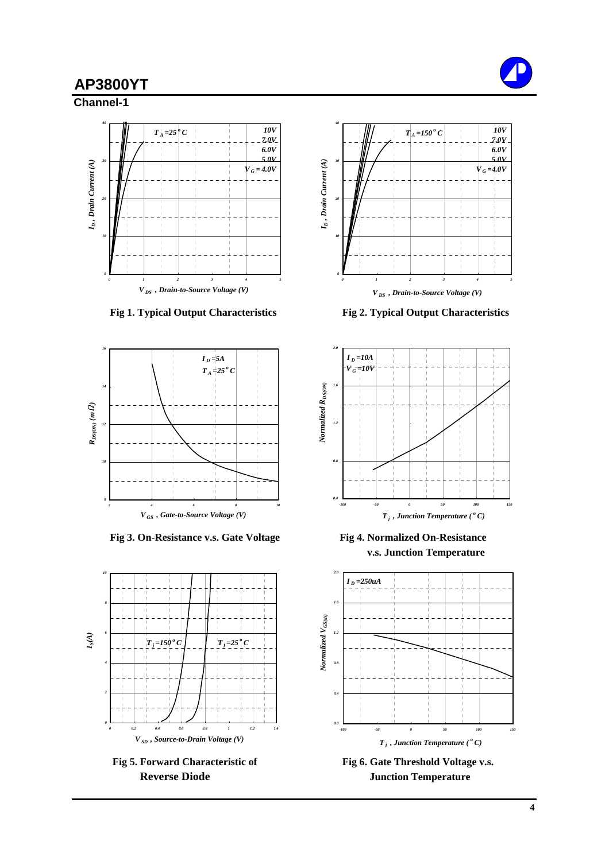**Channel-1**





Fig 3. On-Resistance v.s. Gate Voltage Fig 4. Normalized On-Resistance



Fig 5. Forward Characteristic of Fig 6. Gate Threshold Voltage v.s.



 **Fig 1. Typical Output Characteristics Fig 2. Typical Output Characteristics**



**v.s. Junction Temperature**



**Reverse Diode Junction Temperature**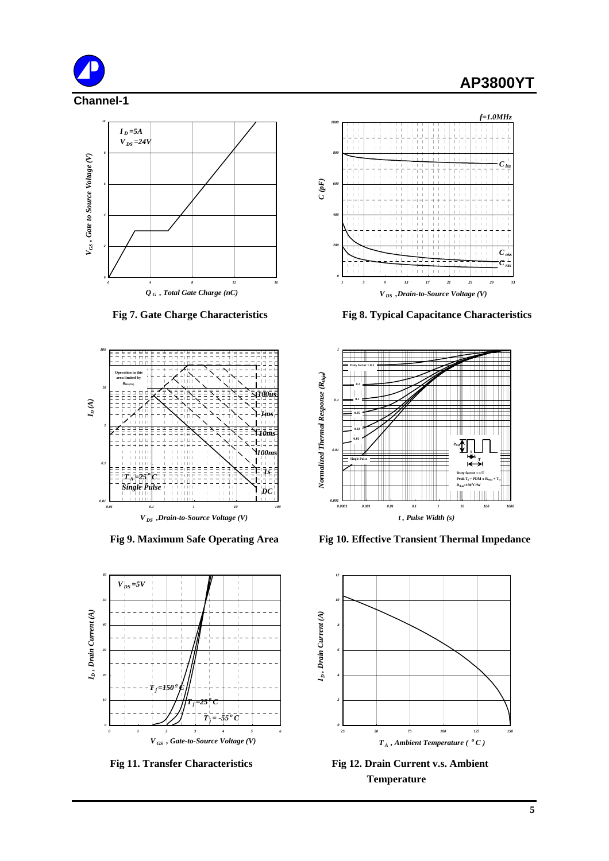











 **Fig 7. Gate Charge Characteristics Fig 8. Typical Capacitance Characteristics**



Fig 9. Maximum Safe Operating Area Fig 10. Effective Transient Thermal Impedance



Fig 11. Transfer Characteristics Fig 12. Drain Current v.s. Ambient **Temperature**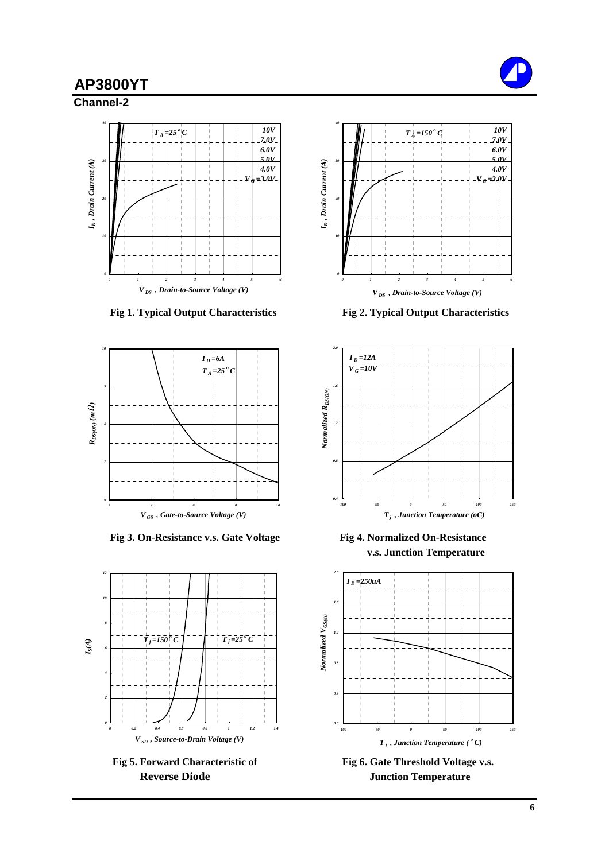**Channel-2**



 **Fig 1. Typical Output Characteristics Fig 2. Typical Output Characteristics**



Fig 3. On-Resistance v.s. Gate Voltage Fig 4. Normalized On-Resistance







**v.s. Junction Temperature**



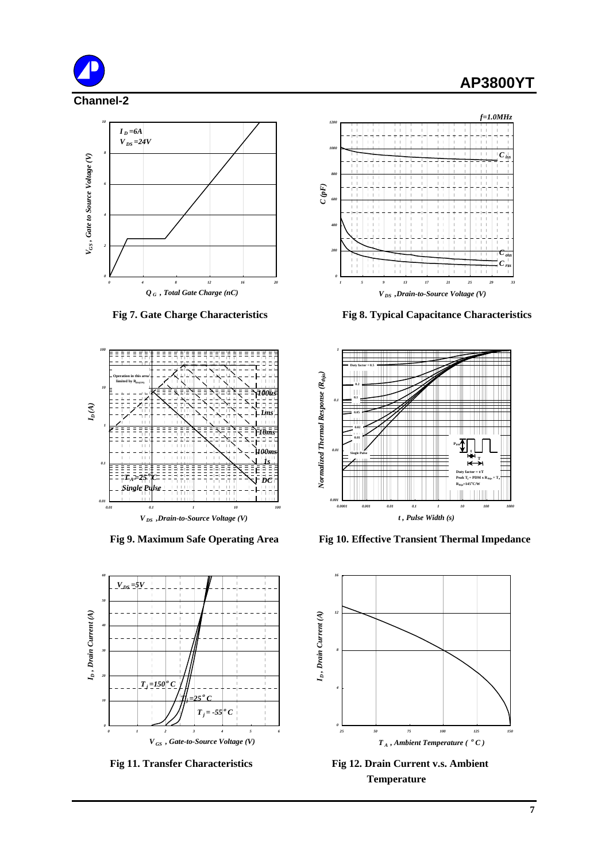







 **Fig 7. Gate Charge Characteristics Fig 8. Typical Capacitance Characteristics**



Fig 9. Maximum Safe Operating Area Fig 10. Effective Transient Thermal Impedance



Fig 11. Transfer Characteristics Fig 12. Drain Current v.s. Ambient **Temperature**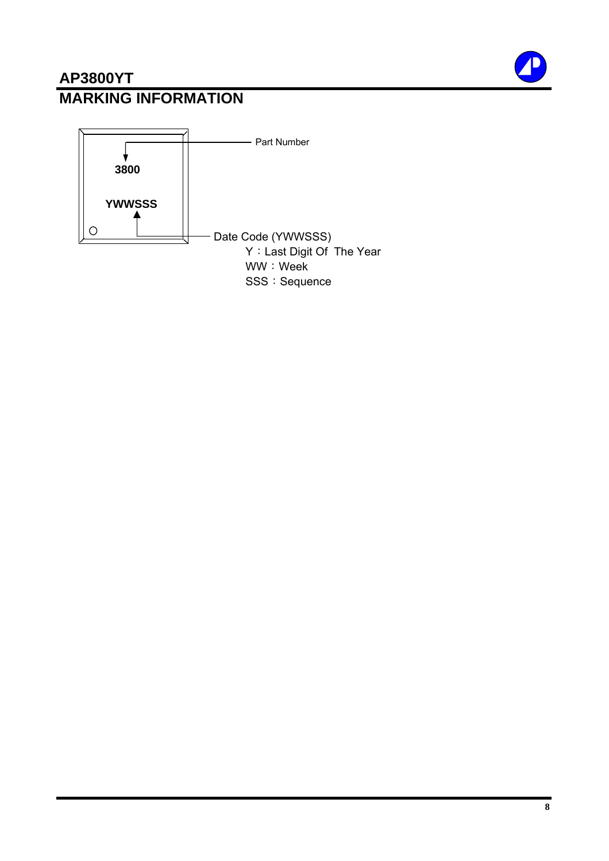## **AP3800YT MARKING INFORMATION**

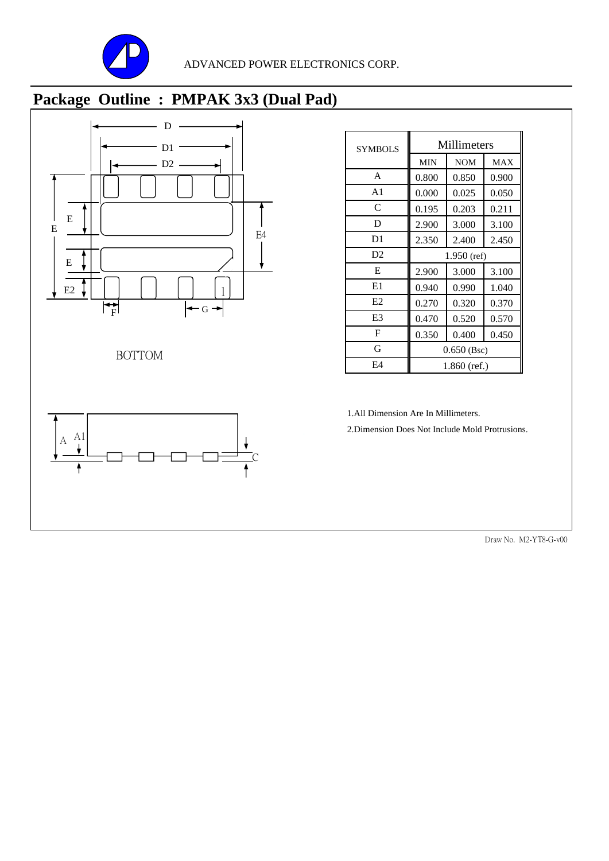

# **Package Outline : PMPAK 3x3 (Dual Pad)**



| <b>SYMBOLS</b> |               | Millimeters    |            |  |
|----------------|---------------|----------------|------------|--|
|                | <b>MIN</b>    | <b>NOM</b>     | <b>MAX</b> |  |
| A              | 0.800         | 0.850          | 0.900      |  |
| A <sub>1</sub> | 0.000         | 0.025          | 0.050      |  |
| C              | 0.195         | 0.203          | 0.211      |  |
| D              | 2.900         | 3.000          | 3.100      |  |
| D <sub>1</sub> | 2.350         | 2.400          | 2.450      |  |
| D <sub>2</sub> | $1.950$ (ref) |                |            |  |
| E              | 2.900         | 3.000          | 3.100      |  |
| E1             | 0.940         | 0.990          | 1.040      |  |
| E2             | 0.270         | 0.320          | 0.370      |  |
| E <sub>3</sub> | 0.470         | 0.520          | 0.570      |  |
| F              | 0.350         | 0.400          | 0.450      |  |
| G              | $0.650$ (Bsc) |                |            |  |
| E4             |               | $1.860$ (ref.) |            |  |

1.All Dimension Are In Millimeters. 1.All Dimension Are In

2.Dimension Does Not Include Mold Protrusions.

Draw No. M2-YT8-G-v00